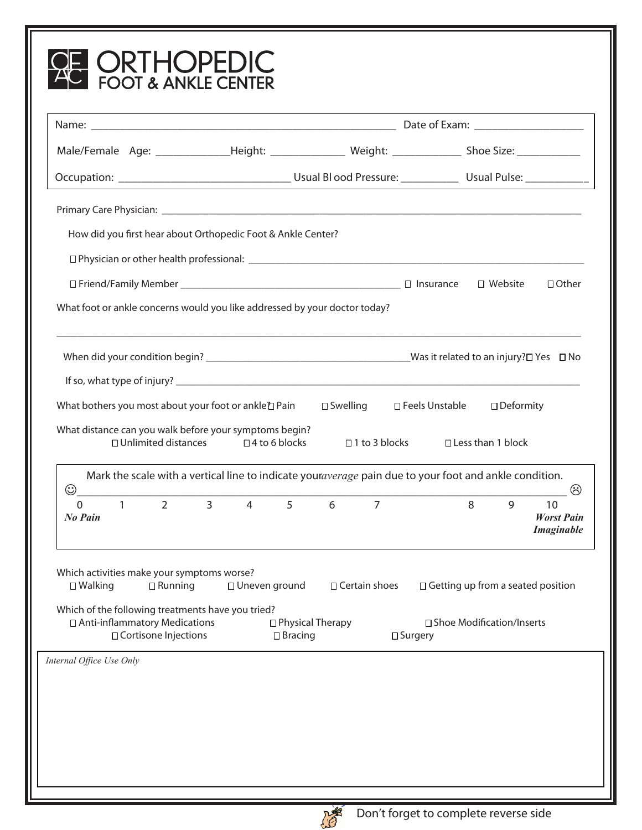| How did you first hear about Orthopedic Foot & Ankle Center?                                                                                                 |                                  |                                      |                                                                                                                                |  |
|--------------------------------------------------------------------------------------------------------------------------------------------------------------|----------------------------------|--------------------------------------|--------------------------------------------------------------------------------------------------------------------------------|--|
|                                                                                                                                                              |                                  |                                      |                                                                                                                                |  |
|                                                                                                                                                              |                                  |                                      | $\Box$ Other<br>□ Website                                                                                                      |  |
| What foot or ankle concerns would you like addressed by your doctor today?                                                                                   |                                  |                                      |                                                                                                                                |  |
|                                                                                                                                                              |                                  |                                      |                                                                                                                                |  |
|                                                                                                                                                              |                                  |                                      |                                                                                                                                |  |
| What bothers you most about your foot or ankle D Pain                                                                                                        |                                  | □ Swelling □ Feels Unstable          | □ Deformity                                                                                                                    |  |
| What distance can you walk before your symptoms begin?<br>□ Unlimited distances                                                                              | $\Box$ 4 to 6 blocks             | $\Box$ 1 to 3 blocks                 | □ Less than 1 block                                                                                                            |  |
| $_{\mathord{\odot}}$                                                                                                                                         |                                  |                                      | Mark the scale with a vertical line to indicate youraverage pain due to your foot and ankle condition.<br>$\ddot{\mathcal{C}}$ |  |
| $\overline{2}$<br>$\Omega$<br>No Pain                                                                                                                        | $\overline{3}$<br>$\overline{4}$ | $5^{\circ}$<br>6<br>$\overline{7}$   | 8<br>9<br>10<br><b>Worst Pain</b><br><b>Imaginable</b>                                                                         |  |
|                                                                                                                                                              |                                  | $\Box$ Certain shoes                 | $\Box$ Getting up from a seated position                                                                                       |  |
| $\square$ Walking<br>$\Box$ Running                                                                                                                          | □ Uneven ground                  |                                      |                                                                                                                                |  |
| Which activities make your symptoms worse?<br>Which of the following treatments have you tried?<br>□ Anti-inflammatory Medications<br>□ Cortisone Injections |                                  | □ Physical Therapy<br>$\Box$ Bracing | □ Shoe Modification/Inserts<br>$\square$ Surgery                                                                               |  |
| Internal Office Use Only                                                                                                                                     |                                  |                                      |                                                                                                                                |  |
|                                                                                                                                                              |                                  |                                      |                                                                                                                                |  |
|                                                                                                                                                              |                                  |                                      |                                                                                                                                |  |

 $\sqrt{\phantom{a}}$ 

 $\overline{\phantom{a}}$ 

УΓ

ודר

 $\blacksquare$ 

۱Г

7г

ΛГ

ヽ | ノ